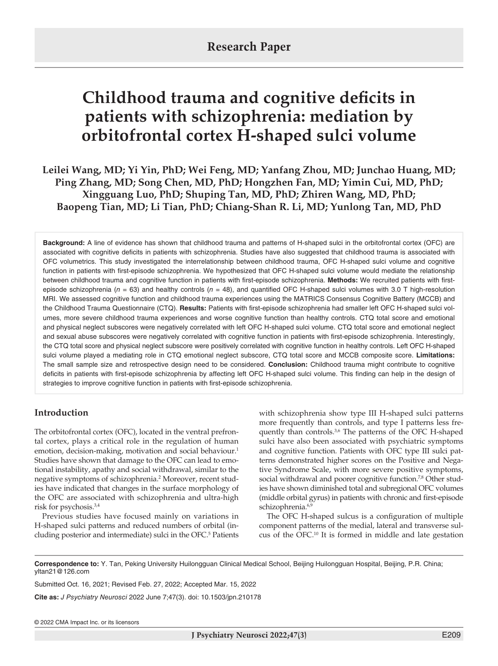# **Childhood trauma and cognitive deficits in patients with schizophrenia: mediation by orbitofrontal cortex H-shaped sulci volume**

**Leilei Wang, MD; Yi Yin, PhD; Wei Feng, MD; Yanfang Zhou, MD; Junchao Huang, MD; Ping Zhang, MD; Song Chen, MD, PhD; Hongzhen Fan, MD; Yimin Cui, MD, PhD; Xingguang Luo, PhD; Shuping Tan, MD, PhD; Zhiren Wang, MD, PhD; Baopeng Tian, MD; Li Tian, PhD; Chiang-Shan R. Li, MD; Yunlong Tan, MD, PhD**

**Background:** A line of evidence has shown that childhood trauma and patterns of H-shaped sulci in the orbitofrontal cortex (OFC) are associated with cognitive deficits in patients with schizophrenia. Studies have also suggested that childhood trauma is associated with OFC volumetrics. This study investigated the interrelationship between childhood trauma, OFC H-shaped sulci volume and cognitive function in patients with first-episode schizophrenia. We hypothesized that OFC H-shaped sulci volume would mediate the relationship between childhood trauma and cognitive function in patients with first-episode schizophrenia. **Methods:** We recruited patients with firstepisode schizophrenia (*n* = 63) and healthy controls (*n* = 48), and quantified OFC H-shaped sulci volumes with 3.0 T high-resolution MRI. We assessed cognitive function and childhood trauma experiences using the MATRICS Consensus Cognitive Battery (MCCB) and the Childhood Trauma Questionnaire (CTQ). **Results:** Patients with first-episode schizophrenia had smaller left OFC H-shaped sulci volumes, more severe childhood trauma experiences and worse cognitive function than healthy controls. CTQ total score and emotional and physical neglect subscores were negatively correlated with left OFC H-shaped sulci volume. CTQ total score and emotional neglect and sexual abuse subscores were negatively correlated with cognitive function in patients with first-episode schizophrenia. Interestingly, the CTQ total score and physical neglect subscore were positively correlated with cognitive function in healthy controls. Left OFC H-shaped sulci volume played a mediating role in CTQ emotional neglect subscore, CTQ total score and MCCB composite score. **Limitations:** The small sample size and retrospective design need to be considered. **Conclusion:** Childhood trauma might contribute to cognitive deficits in patients with first-episode schizophrenia by affecting left OFC H-shaped sulci volume. This finding can help in the design of strategies to improve cognitive function in patients with first-episode schizophrenia.

## **Introduction**

The orbitofrontal cortex (OFC), located in the ventral prefrontal cortex, plays a critical role in the regulation of human emotion, decision-making, motivation and social behaviour.<sup>1</sup> Studies have shown that damage to the OFC can lead to emotional instability, apathy and social withdrawal, similar to the negative symptoms of schizophrenia.<sup>2</sup> Moreover, recent studies have indicated that changes in the surface morphology of the OFC are associated with schizophrenia and ultra-high risk for psychosis.3,4

Previous studies have focused mainly on variations in H-shaped sulci patterns and reduced numbers of orbital (including posterior and intermediate) sulci in the OFC.<sup>5</sup> Patients with schizophrenia show type III H-shaped sulci patterns more frequently than controls, and type I patterns less frequently than controls.<sup>3,6</sup> The patterns of the OFC H-shaped sulci have also been associated with psychiatric symptoms and cognitive function. Patients with OFC type III sulci patterns demonstrated higher scores on the Positive and Negative Syndrome Scale, with more severe positive symptoms, social withdrawal and poorer cognitive function.<sup>7,8</sup> Other studies have shown diminished total and subregional OFC volumes (middle orbital gyrus) in patients with chronic and first-episode schizophrenia.<sup>6,9</sup>

The OFC H-shaped sulcus is a configuration of multiple component patterns of the medial, lateral and transverse sulcus of the OFC.10 It is formed in middle and late gestation

**Correspondence to:** Y. Tan, Peking University Huilongguan Clinical Medical School, Beijing Huilongguan Hospital, Beijing, P.R. China; yltan21@126.com

Submitted Oct. 16, 2021; Revised Feb. 27, 2022; Accepted Mar. 15, 2022

**Cite as:** *J Psychiatry Neurosci* 2022 June 7;47(3). doi: 10.1503/jpn.210178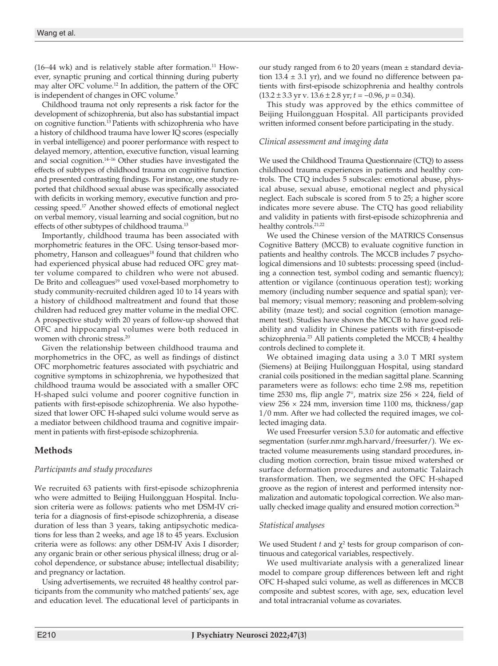$(16-44 \text{ wk})$  and is relatively stable after formation.<sup>11</sup> However, synaptic pruning and cortical thinning during puberty may alter OFC volume.12 In addition, the pattern of the OFC is independent of changes in OFC volume.<sup>9</sup>

Childhood trauma not only represents a risk factor for the development of schizophrenia, but also has substantial impact on cognitive function.13 Patients with schizophrenia who have a history of childhood trauma have lower IQ scores (especially in verbal intelligence) and poorer performance with respect to delayed memory, attention, executive function, visual learning and social cognition.14–16 Other studies have investigated the effects of subtypes of childhood trauma on cognitive function and presented contrasting findings. For instance, one studyreported that childhood sexual abuse was specifically associated with deficits in working memory, executive function and processing speed.17 Another showed effects of emotional neglect on verbal memory, visual learning and social cognition, but no effects of other subtypes of childhood trauma.<sup>13</sup>

Importantly, childhood trauma has been associated with morphometric features in the OFC. Using tensor-based morphometry, Hanson and colleagues<sup>18</sup> found that children who had experienced physical abuse had reduced OFC grey matter volume compared to children who were not abused. De Brito and colleagues<sup>19</sup> used voxel-based morphometry to study community-recruited children aged 10 to 14 years with a history of childhood maltreatment and found that those children had reduced grey matter volume in the medial OFC. A prospective study with 20 years of follow-up showed that OFC and hippocampal volumes were both reduced in women with chronic stress.<sup>20</sup>

Given the relationship between childhood trauma and morphometrics in the OFC, as well as findings of distinct OFC morphometric features associated with psychiatric and cognitive symptoms in schizophrenia, we hypothesized that childhood trauma would be associated with a smaller OFC H-shaped sulci volume and poorer cognitive function in patients with first-episode schizophrenia. We also hypothesized that lower OFC H-shaped sulci volume would serve as a mediator between childhood trauma and cognitive impairment in patients with first-episode schizophrenia.

## **Methods**

## *Participants and study procedures*

We recruited 63 patients with first-episode schizophrenia who were admitted to Beijing Huilongguan Hospital. Inclusion criteria were as follows: patients who met DSM-IV criteria for a diagnosis of first-episode schizophrenia, a disease duration of less than 3 years, taking antipsychotic medications for less than 2 weeks, and age 18 to 45 years. Exclusion criteria were as follows: any other DSM-IV Axis I disorder; any organic brain or other serious physical illness; drug or alcohol dependence, or substance abuse; intellectual disability; and pregnancy or lactation.

Using advertisements, we recruited 48 healthy control participants from the community who matched patients' sex, age and education level. The educational level of participants in our study ranged from 6 to 20 years (mean ± standard deviation  $13.4 \pm 3.1$  yr), and we found no difference between patients with first-episode schizophrenia and healthy controls (13.2 ± 3.3 yr v. 13.6 ± 2.8 yr; *t* = −0.96, *p* = 0.34).

This study was approved by the ethics committee of Beijing Huilongguan Hospital. All participants provided written informed consent before participating in the study.

## *Clinical assessment and imaging data*

We used the Childhood Trauma Questionnaire (CTQ) to assess childhood trauma experiences in patients and healthy controls. The CTQ includes 5 subscales: emotional abuse, physical abuse, sexual abuse, emotional neglect and physical neglect. Each subscale is scored from 5 to 25; a higher score indicates more severe abuse. The CTQ has good reliability and validity in patients with first-episode schizophrenia and healthy controls.<sup>21,22</sup>

We used the Chinese version of the MATRICS Consensus Cognitive Battery (MCCB) to evaluate cognitive function in patients and healthy controls. The MCCB includes 7 psychological dimensions and 10 subtests: processing speed (including a connection test, symbol coding and semantic fluency); attention or vigilance (continuous operation test); working memory (including number sequence and spatial span); verbal memory; visual memory; reasoning and problem-solving ability (maze test); and social cognition (emotion management test). Studies have shown the MCCB to have good reliability and validity in Chinese patients with first-episode schizophrenia.<sup>23</sup> All patients completed the MCCB; 4 healthy controls declined to complete it.

We obtained imaging data using a 3.0 T MRI system (Siemens) at Beijing Huilongguan Hospital, using standard cranial coils positioned in the median sagittal plane. Scanning parameters were as follows: echo time 2.98 ms, repetition time 2530 ms, flip angle  $7^\circ$ , matrix size 256  $\times$  224, field of view  $256 \times 224$  mm, inversion time 1100 ms, thickness/gap 1/0 mm. After we had collected the required images, we collected imaging data.

We used Freesurfer version 5.3.0 for automatic and effective segmentation (surfer.nmr.mgh.harvard/freesurfer/). We extracted volume measurements using standard procedures, including motion correction, brain tissue mixed watershed or surface deformation procedures and automatic Talairach transformation. Then, we segmented the OFC H-shaped groove as the region of interest and performed intensity normalization and automatic topological correction. We also manually checked image quality and ensured motion correction.<sup>24</sup>

## *Statistical analyses*

We used Student  $t$  and  $\chi^2$  tests for group comparison of continuous and categorical variables, respectively.

We used multivariate analysis with a generalized linear model to compare group differences between left and right OFC H-shaped sulci volume, as well as differences in MCCB composite and subtest scores, with age, sex, education level and total intracranial volume as covariates.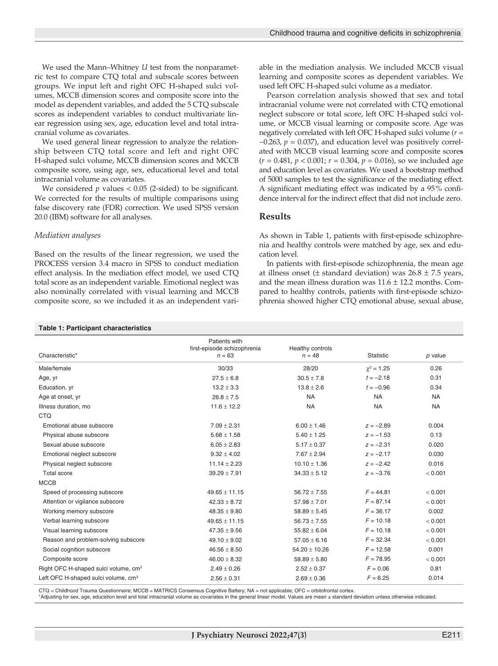We used the Mann–Whitney *U* test from the nonparametric test to compare CTQ total and subscale scores between groups. We input left and right OFC H-shaped sulci volumes, MCCB dimension scores and composite score into the model as dependent variables, and added the 5 CTQ subscale scores as independent variables to conduct multivariate linear regression using sex, age, education level and total intracranial volume as covariates.

We used general linear regression to analyze the relationship between CTQ total score and left and right OFC H-shaped sulci volume, MCCB dimension scores and MCCB composite score, using age, sex, educational level and total intracranial volume as covariates.

We considered *p* values < 0.05 (2-sided) to be significant. We corrected for the results of multiple comparisons using false discovery rate (FDR) correction. We used SPSS version 20.0 (IBM) software for all analyses.

#### *Mediation analyses*

Based on the results of the linear regression, we used the PROCESS version 3.4 macro in SPSS to conduct mediation effect analysis. In the mediation effect model, we used CTQ total score as an independent variable. Emotional neglect was also nominally correlated with visual learning and MCCB composite score, so we included it as an independent variable in the mediation analysis. We included MCCB visual learning and composite scores as dependent variables. We used left OFC H-shaped sulci volume as a mediator.

Pearson correlation analysis showed that sex and total intracranial volume were not correlated with CTQ emotional neglect subscore or total score, left OFC H-shaped sulci volume, or MCCB visual learning or composite score. Age was negatively correlated with left OFC H-shaped sulci volume (*r* = −0.263, *p* = 0.037), and education level was positively correlated with MCCB visual learning score and composite score**s**  (*r* = 0.481, *p* < 0.001; *r* = 0.304, *p* = 0.016), so we included age and education level as covariates. We used a bootstrap method of 5000 samples to test the significance of the mediating effect. A significant mediating effect was indicated by a 95% confidence interval for the indirect effect that did not include zero.

## **Results**

As shown in Table 1, patients with first-episode schizophrenia and healthy controls were matched by age, sex and education level.

In patients with first-episode schizophrenia, the mean age at illness onset ( $\pm$  standard deviation) was  $26.8 \pm 7.5$  years, and the mean illness duration was  $11.6 \pm 12.2$  months. Compared to healthy controls, patients with first-episode schizophrenia showed higher CTQ emotional abuse, sexual abuse,

#### **Table 1: Participant characteristics**

|                                                  | Patients with               |                   |                   |           |
|--------------------------------------------------|-----------------------------|-------------------|-------------------|-----------|
|                                                  | first-episode schizophrenia | Healthy controls  |                   |           |
| Characteristic*                                  | $n = 63$                    | $n = 48$          | Statistic         | p value   |
| Male/female                                      | 30/33                       | 28/20             | $\gamma^2 = 1.25$ | 0.26      |
| Age, yr                                          | $27.5 \pm 6.8$              | $30.5 \pm 7.8$    | $t = -2.18$       | 0.31      |
| Education, yr                                    | $13.2 \pm 3.3$              | $13.8 \pm 2.6$    | $t = -0.96$       | 0.34      |
| Age at onset, yr                                 | $26.8 \pm 7.5$              | <b>NA</b>         | <b>NA</b>         | <b>NA</b> |
| Illness duration, mo                             | $11.6 \pm 12.2$             | <b>NA</b>         | <b>NA</b>         | <b>NA</b> |
| <b>CTQ</b>                                       |                             |                   |                   |           |
| Emotional abuse subscore                         | $7.09 \pm 2.31$             | $6.00 \pm 1.46$   | $z = -2.89$       | 0.004     |
| Physical abuse subscore                          | $5.68 \pm 1.58$             | $5.40 \pm 1.25$   | $z = -1.53$       | 0.13      |
| Sexual abuse subscore                            | $6.05 \pm 2.83$             | $5.17 \pm 0.37$   | $z = -2.31$       | 0.020     |
| Emotional neglect subscore                       | $9.32 \pm 4.02$             | $7.67 \pm 2.94$   | $z = -2.17$       | 0.030     |
| Physical neglect subscore                        | $11.14 \pm 2.23$            | $10.10 \pm 1.36$  | $z = -2.42$       | 0.016     |
| Total score                                      | $39.29 \pm 7.91$            | $34.33 \pm 5.12$  | $z = -3.76$       | < 0.001   |
| <b>MCCB</b>                                      |                             |                   |                   |           |
| Speed of processing subscore                     | $49.65 \pm 11.15$           | $56.72 \pm 7.55$  | $F = 44.81$       | < 0.001   |
| Attention or vigilance subscore                  | $42.33 \pm 8.72$            | $57.98 \pm 7.01$  | $F = 87.14$       | < 0.001   |
| Working memory subscore                          | $48.35 \pm 9.80$            | $58.89 \pm 5.45$  | $F = 36.17$       | 0.002     |
| Verbal learning subscore                         | $49.65 \pm 11.15$           | $56.73 \pm 7.55$  | $F = 10.18$       | < 0.001   |
| Visual learning subscore                         | $47.35 \pm 9.56$            | $55.82 \pm 6.04$  | $F = 10.18$       | < 0.001   |
| Reason and problem-solving subscore              | $49.10 \pm 9.02$            | $57.05 \pm 6.16$  | $F = 32.34$       | < 0.001   |
| Social cognition subscore                        | $46.56 \pm 8.50$            | $54.20 \pm 10.26$ | $F = 12.58$       | 0.001     |
| Composite score                                  | $46.00 \pm 8.32$            | $58.89 \pm 5.80$  | $F = 78.95$       | < 0.001   |
| Right OFC H-shaped sulci volume, cm <sup>3</sup> | $2.49 \pm 0.26$             | $2.52 \pm 0.37$   | $F = 0.06$        | 0.81      |
| Left OFC H-shaped sulci volume, cm <sup>3</sup>  | $2.56 \pm 0.31$             | $2.69 \pm 0.36$   | $F = 6.25$        | 0.014     |

CTQ = Childhood Trauma Questionnaire; MCCB = MATRICS Consensus Cognitive Battery; NA = not applicable; OFC = orbitofrontal cortex.

\*Adjusting for sex, age, education level and total intracranial volume as covariates in the general linear model. Values are mean ± standard deviation unless otherwise indicated.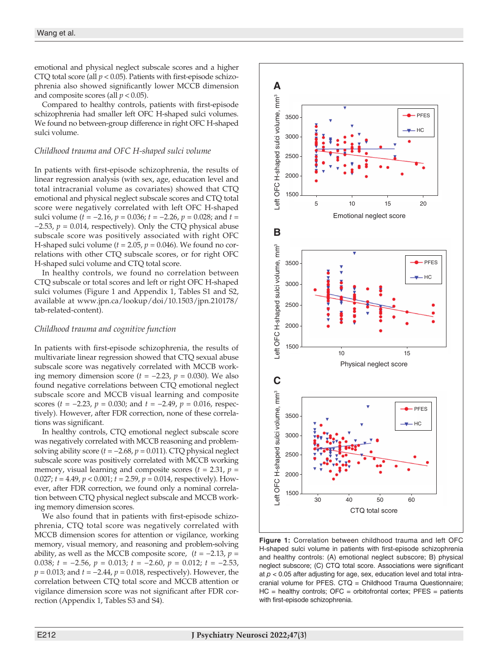emotional and physical neglect subscale scores and a higher CTQ total score (all  $p < 0.05$ ). Patients with first-episode schizophrenia also showed significantly lower MCCB dimension and composite scores (all  $p < 0.05$ ).

Compared to healthy controls, patients with first-episode schizophrenia had smaller left OFC H-shaped sulci volumes. We found no between-group difference in right OFC H-shaped sulci volume.

#### *Childhood trauma and OFC H-shaped sulci volume*

In patients with first-episode schizophrenia, the results of linear regression analysis (with sex, age, education level and total intracranial volume as covariates) showed that CTQ emotional and physical neglect subscale scores and CTQ total score were negatively correlated with left OFC H-shaped sulci volume (*t* = −2.16, *p* = 0.036; *t* = −2.26, *p* = 0.028; and *t* =  $-2.53$ ,  $p = 0.014$ , respectively). Only the CTQ physical abuse subscale score was positively associated with right OFC H-shaped sulci volume  $(t = 2.05, p = 0.046)$ . We found no correlations with other CTQ subscale scores, or for right OFC H-shaped sulci volume and CTQ total score.

In healthy controls, we found no correlation between CTQ subscale or total scores and left or right OFC H-shaped sulci volumes (Figure 1 and Appendix 1, Tables S1 and S2, available at www.jpn.ca/lookup/doi/10.1503/jpn.210178/ tab-related-content).

### *Childhood trauma and cognitive function*

In patients with first-episode schizophrenia, the results of multivariate linear regression showed that CTQ sexual abuse subscale score was negatively correlated with MCCB working memory dimension score (*t* = −2.23, *p* = 0.030). We also found negative correlations between CTQ emotional neglect subscale score and MCCB visual learning and composite scores (*t* = −2.23, *p* = 0.030; and *t* = −2.49, *p* = 0.016, respectively). However, after FDR correction, none of these correlations was significant.

In healthy controls, CTQ emotional neglect subscale score was negatively correlated with MCCB reasoning and problemsolving ability score (*t* = −2.68, *p* = 0.011). CTQ physical neglect subscale score was positively correlated with MCCB working memory, visual learning and composite scores  $(t = 2.31, p =$ 0.027;  $t = 4.49$ ,  $p < 0.001$ ;  $t = 2.59$ ,  $p = 0.014$ , respectively). However, after FDR correction, we found only a nominal correlation between CTQ physical neglect subscale and MCCB working memory dimension scores.

We also found that in patients with first-episode schizophrenia, CTQ total score was negatively correlated with MCCB dimension scores for attention or vigilance, working memory, visual memory, and reasoning and problem-solving ability, as well as the MCCB composite score,  $(t = -2.13, p =$ 0.038; *t* = −2.56, *p* = 0.013; *t* = −2.60, *p* = 0.012; *t* = −2.53, *p* = 0.013; and *t* = −2.44, *p* = 0.018, respectively). However, the correlation between CTQ total score and MCCB attention or vigilance dimension score was not significant after FDR correction (Appendix 1, Tables S3 and S4).



**Figure 1:** Correlation between childhood trauma and left OFC H-shaped sulci volume in patients with first-episode schizophrenia and healthy controls: (A) emotional neglect subscore; B) physical neglect subscore; (C) CTQ total score. Associations were significant at  $p < 0.05$  after adjusting for age, sex, education level and total intracranial volume for PFES. CTQ = Childhood Trauma Questionnaire;  $HC =$  healthy controls;  $OFC =$  orbitofrontal cortex;  $PFES =$  patients with first-episode schizophrenia.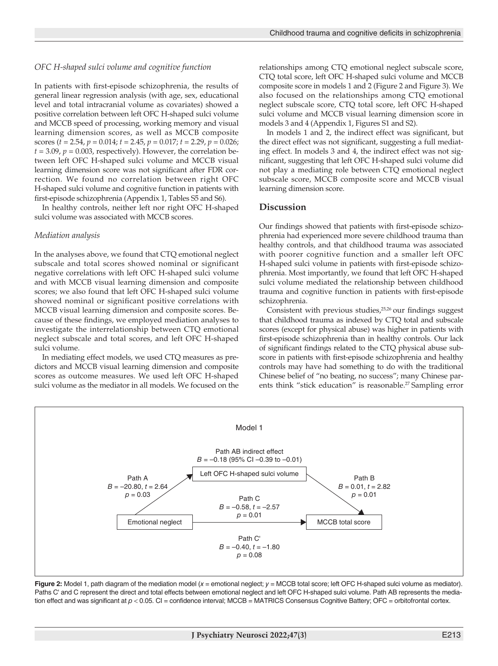#### *OFC H-shaped sulci volume and cognitive function*

In patients with first-episode schizophrenia, the results of general linear regression analysis (with age, sex, educational level and total intracranial volume as covariates) showed a positive correlation between left OFC H-shaped sulci volume and MCCB speed of processing, working memory and visual learning dimension scores, as well as MCCB composite scores (*t* = 2.54, *p* = 0.014; *t* = 2.45, *p* = 0.017; *t* = 2.29, *p* = 0.026;  $t = 3.09$ ,  $p = 0.003$ , respectively). However, the correlation between left OFC H-shaped sulci volume and MCCB visual learning dimension score was not significant after FDR correction. We found no correlation between right OFC H-shaped sulci volume and cognitive function in patients with first-episode schizophrenia (Appendix 1, Tables S5 and S6).

In healthy controls, neither left nor right OFC H-shaped sulci volume was associated with MCCB scores.

#### *Mediation analysis*

In the analyses above, we found that CTQ emotional neglect subscale and total scores showed nominal or significant negative correlations with left OFC H-shaped sulci volume and with MCCB visual learning dimension and composite scores; we also found that left OFC H-shaped sulci volume showed nominal or significant positive correlations with MCCB visual learning dimension and composite scores. Because of these findings, we employed mediation analyses to investigate the interrelationship between CTQ emotional neglect subscale and total scores, and left OFC H-shaped sulci volume.

In mediating effect models, we used CTQ measures as predictors and MCCB visual learning dimension and composite scores as outcome measures. We used left OFC H-shaped sulci volume as the mediator in all models. We focused on the relationships among CTQ emotional neglect subscale score, CTQ total score, left OFC H-shaped sulci volume and MCCB composite score in models 1 and 2 (Figure 2 and Figure 3). We also focused on the relationships among CTQ emotional neglect subscale score, CTQ total score, left OFC H-shaped sulci volume and MCCB visual learning dimension score in models 3 and 4 (Appendix 1, Figures S1 and S2).

In models 1 and 2, the indirect effect was significant, but the direct effect was not significant, suggesting a full mediating effect. In models 3 and 4, the indirect effect was not significant, suggesting that left OFC H-shaped sulci volume did not play a mediating role between CTQ emotional neglect subscale score, MCCB composite score and MCCB visual learning dimension score.

#### **Discussion**

Our findings showed that patients with first-episode schizophrenia had experienced more severe childhood trauma than healthy controls, and that childhood trauma was associated with poorer cognitive function and a smaller left OFC H-shaped sulci volume in patients with first-episode schizophrenia. Most importantly, we found that left OFC H-shaped sulci volume mediated the relationship between childhood trauma and cognitive function in patients with first-episode schizophrenia.

Consistent with previous studies,<sup>25,26</sup> our findings suggest that childhood trauma as indexed by CTQ total and subscale scores (except for physical abuse) was higher in patients with first-episode schizophrenia than in healthy controls. Our lack of significant findings related to the CTQ physical abuse subscore in patients with first-episode schizophrenia and healthy controls may have had something to do with the traditional Chinese belief of "no beating, no success"; many Chinese parents think "stick education" is reasonable.<sup>27</sup> Sampling error



**Figure 2:** Model 1, path diagram of the mediation model (*x* = emotional neglect; *y* = MCCB total score; left OFC H-shaped sulci volume as mediator). Paths C' and C represent the direct and total effects between emotional neglect and left OFC H-shaped sulci volume. Path AB represents the mediation effect and was significant at  $p < 0.05$ . CI = confidence interval; MCCB = MATRICS Consensus Cognitive Battery; OFC = orbitofrontal cortex.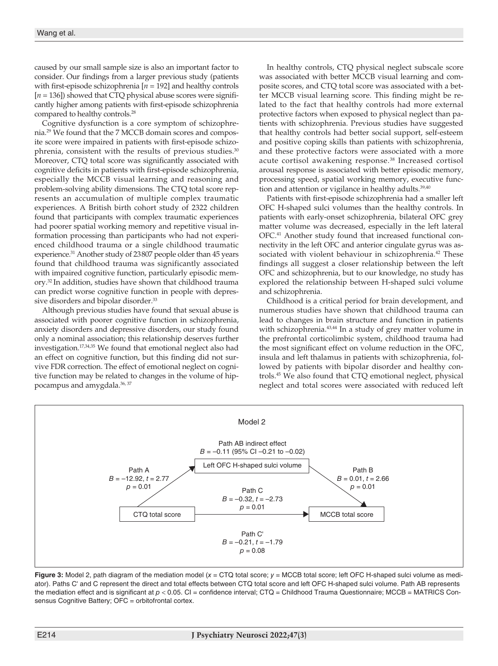caused by our small sample size is also an important factor to consider. Our findings from a larger previous study (patients with first-episode schizophrenia [*n* = 192] and healthy controls [*n* = 136]) showed that CTQ physical abuse scores were significantly higher among patients with first-episode schizophrenia compared to healthy controls.28

Cognitive dysfunction is a core symptom of schizophrenia.29 We found that the 7 MCCB domain scores and composite score were impaired in patients with first-episode schizophrenia, consistent with the results of previous studies.<sup>30</sup> Moreover, CTQ total score was significantly associated with cognitive deficits in patients with first-episode schizophrenia, especially the MCCB visual learning and reasoning and problem-solving ability dimensions. The CTQ total score represents an accumulation of multiple complex traumatic experiences. A British birth cohort study of 2322 children found that participants with complex traumatic experiences had poorer spatial working memory and repetitive visual information processing than participants who had not experienced childhood trauma or a single childhood traumatic experience.31 Another study of 23807 people older than 45 years found that childhood trauma was significantly associated with impaired cognitive function, particularly episodic memory.32 In addition, studies have shown that childhood trauma can predict worse cognitive function in people with depressive disorders and bipolar disorder.<sup>33</sup>

Although previous studies have found that sexual abuse is associated with poorer cognitive function in schizophrenia, anxiety disorders and depressive disorders, our study found only a nominal association; this relationship deserves further investigation.17,34,35 We found that emotional neglect also had an effect on cognitive function, but this finding did not survive FDR correction. The effect of emotional neglect on cognitive function may be related to changes in the volume of hippocampus and amygdala.36, 37

In healthy controls, CTQ physical neglect subscale score was associated with better MCCB visual learning and composite scores, and CTQ total score was associated with a better MCCB visual learning score. This finding might be related to the fact that healthy controls had more external protective factors when exposed to physical neglect than patients with schizophrenia. Previous studies have suggested that healthy controls had better social support, self-esteem and positive coping skills than patients with schizophrenia, and these protective factors were associated with a more acute cortisol awakening response.38 Increased cortisol arousal response is associated with better episodic memory, processing speed, spatial working memory, executive function and attention or vigilance in healthy adults.<sup>39,40</sup>

Patients with first-episode schizophrenia had a smaller left OFC H-shaped sulci volumes than the healthy controls. In patients with early-onset schizophrenia, bilateral OFC grey matter volume was decreased, especially in the left lateral OFC.41 Another study found that increased functional connectivity in the left OFC and anterior cingulate gyrus was associated with violent behaviour in schizophrenia.<sup>42</sup> These findings all suggest a closer relationship between the left OFC and schizophrenia, but to our knowledge, no study has explored the relationship between H-shaped sulci volume and schizophrenia.

Childhood is a critical period for brain development, and numerous studies have shown that childhood trauma can lead to changes in brain structure and function in patients with schizophrenia.<sup>43,44</sup> In a study of grey matter volume in the prefrontal corticolimbic system, childhood trauma had the most significant effect on volume reduction in the OFC, insula and left thalamus in patients with schizophrenia, followed by patients with bipolar disorder and healthy controls.45 We also found that CTQ emotional neglect, physical neglect and total scores were associated with reduced left



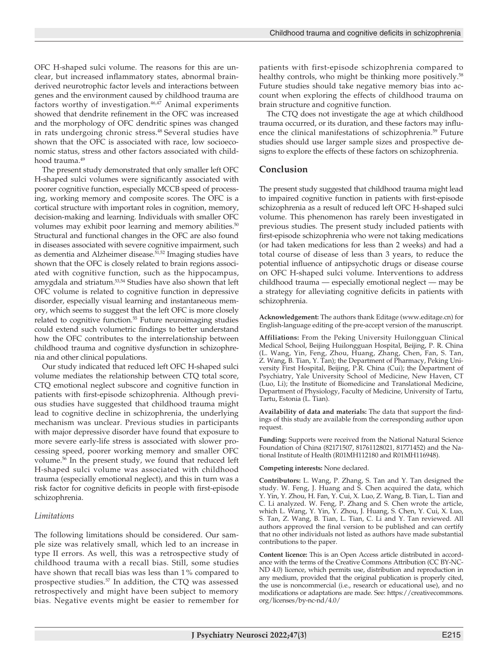OFC H-shaped sulci volume. The reasons for this are unclear, but increased inflammatory states, abnormal brainderived neurotrophic factor levels and interactions between genes and the environment caused by childhood trauma are factors worthy of investigation.<sup>46,47</sup> Animal experiments showed that dendrite refinement in the OFC was increased and the morphology of OFC dendritic spines was changed in rats undergoing chronic stress.<sup>48</sup> Several studies have shown that the OFC is associated with race, low socioeconomic status, stress and other factors associated with childhood trauma.<sup>49</sup>

The present study demonstrated that only smaller left OFC H-shaped sulci volumes were significantly associated with poorer cognitive function, especially MCCB speed of processing, working memory and composite scores. The OFC is a cortical structure with important roles in cognition, memory, decision-making and learning. Individuals with smaller OFC volumes may exhibit poor learning and memory abilities.<sup>50</sup> Structural and functional changes in the OFC are also found in diseases associated with severe cognitive impairment, such as dementia and Alzheimer disease.<sup>51,52</sup> Imaging studies have shown that the OFC is closely related to brain regions associated with cognitive function, such as the hippocampus, amygdala and striatum.53,54 Studies have also shown that left OFC volume is related to cognitive function in depressive disorder, especially visual learning and instantaneous memory, which seems to suggest that the left OFC is more closely related to cognitive function.<sup>55</sup> Future neuroimaging studies could extend such volumetric findings to better understand how the OFC contributes to the interrelationship between childhood trauma and cognitive dysfunction in schizophrenia and other clinical populations.

Our study indicated that reduced left OFC H-shaped sulci volume mediates the relationship between CTQ total score, CTQ emotional neglect subscore and cognitive function in patients with first-episode schizophrenia. Although previous studies have suggested that childhood trauma might lead to cognitive decline in schizophrenia, the underlying mechanism was unclear. Previous studies in participants with major depressive disorder have found that exposure to more severe early-life stress is associated with slower processing speed, poorer working memory and smaller OFC volume.<sup>56</sup> In the present study, we found that reduced left H-shaped sulci volume was associated with childhood trauma (especially emotional neglect), and this in turn was a risk factor for cognitive deficits in people with first-episode schizophrenia.

## *Limitations*

The following limitations should be considered. Our sample size was relatively small, which led to an increase in type II errors. As well, this was a retrospective study of childhood trauma with a recall bias. Still, some studies have shown that recall bias was less than 1% compared to prospective studies.<sup>57</sup> In addition, the CTQ was assessed retrospectively and might have been subject to memory bias. Negative events might be easier to remember for

patients with first-episode schizophrenia compared to healthy controls, who might be thinking more positively.<sup>58</sup> Future studies should take negative memory bias into account when exploring the effects of childhood trauma on brain structure and cognitive function.

The CTQ does not investigate the age at which childhood trauma occurred, or its duration, and these factors may influence the clinical manifestations of schizophrenia.<sup>59</sup> Future studies should use larger sample sizes and prospective designs to explore the effects of these factors on schizophrenia.

## **Conclusion**

The present study suggested that childhood trauma might lead to impaired cognitive function in patients with first-episode schizophrenia as a result of reduced left OFC H-shaped sulci volume. This phenomenon has rarely been investigated in previous studies. The present study included patients with first-episode schizophrenia who were not taking medications (or had taken medications for less than 2 weeks) and had a total course of disease of less than 3 years, to reduce the potential influence of antipsychotic drugs or disease course on OFC H-shaped sulci volume. Interventions to address childhood trauma — especially emotional neglect — may be a strategy for alleviating cognitive deficits in patients with schizophrenia.

**Acknowledgement:** The authors thank Editage (www.editage.cn) for English-language editing of the pre-accept version of the manuscript.

**Affiliations:** From the Peking University Huilongguan Clinical Medical School, Beijing Huilongguan Hospital, Beijing, P. R. China (L. Wang, Yin, Feng, Zhou, Huang, Zhang, Chen, Fan, S. Tan, Z. Wang, B. Tian, Y. Tan); the Department of Pharmacy, Peking University First Hospital, Beijing, P.R. China (Cui); the Department of Psychiatry, Yale University School of Medicine, New Haven, CT (Luo, Li); the Institute of Biomedicine and Translational Medicine, Department of Physiology, Faculty of Medicine, University of Tartu, Tartu, Estonia (L. Tian).

**Availability of data and materials:** The data that support the findings of this study are available from the corresponding author upon request.

**Funding:** Supports were received from the National Natural Science Foundation of China (82171507, 81761128021, 81771452) and the National Institute of Health (R01MH112180 and R01MH116948).

#### **Competing interests:** None declared.

**Contributors:** L. Wang, P. Zhang, S. Tan and Y. Tan designed the study. W. Feng, J. Huang and S. Chen acquired the data, which Y. Yin, Y. Zhou, H. Fan, Y. Cui, X. Luo, Z. Wang, B. Tian, L. Tian and C. Li analyzed. W. Feng, P. Zhang and S. Chen wrote the article, which L. Wang, Y. Yin, Y. Zhou, J. Huang, S. Chen, Y. Cui, X. Luo, S. Tan, Z. Wang, B. Tian, L. Tian, C. Li and Y. Tan reviewed. All authors approved the final version to be published and can certify that no other individuals not listed as authors have made substantial contributions to the paper.

**Content licence:** This is an Open Access article distributed in accordance with the terms of the Creative Commons Attribution (CC BY-NC-ND 4.0) licence, which permits use, distribution and reproduction in any medium, provided that the original publication is properly cited, the use is noncommercial (i.e., research or educational use), and no modifications or adaptations are made. See: https://creativecommons. org/licenses/by-nc-nd/4.0/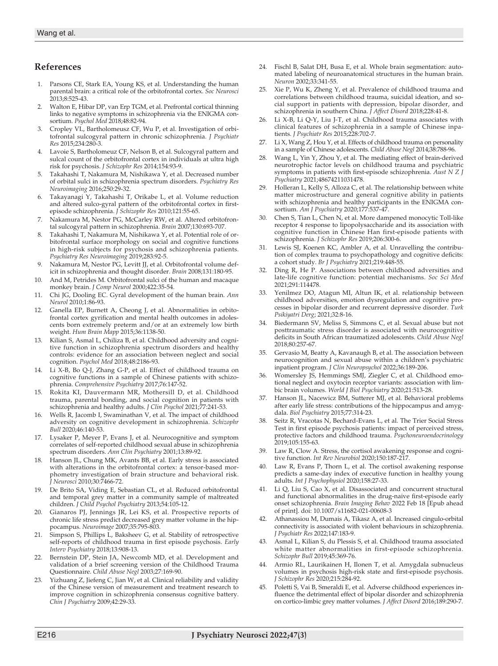## **References**

- 1. Parsons CE, Stark EA, Young KS, et al. Understanding the human parental brain: a critical role of the orbitofrontal cortex. *Soc Neurosci* 2013;8:525-43.
- 2. Walton E, Hibar DP, van Erp TGM, et al. Prefrontal cortical thinning links to negative symptoms in schizophrenia via the ENIGMA consortium. *Psychol Med* 2018;48:82-94.
- 3. Cropley VL, Bartholomeusz CF, Wu P, et al. Investigation of orbitofrontal sulcogyral pattern in chronic schizophrenia. *J Psychiatr Res* 2015;234:280-3.
- 4. Lavoie S, Bartholomeuz CF, Nelson B, et al. Sulcogyral pattern and sulcal count of the orbitofrontal cortex in individuals at ultra high risk for psychosis. *J Schizophr Res* 2014;154:93-9.
- 5. Takahashi T, Nakamura M, Nishikawa Y, et al. Decreased number of orbital sulci in schizophrenia spectrum disorders. *Psychiatry Res Neuroimaging* 2016;250:29-32.
- Takayanagi Y, Takahashi T, Orikabe L, et al. Volume reduction and altered sulco-gyral pattern of the orbitofrontal cortex in firstepisode schizophrenia. *J Schizophr Res* 2010;121:55-65.
- Nakamura M, Nestor PG, McCarley RW, et al. Altered orbitofrontal sulcogyral pattern in schizophrenia. *Brain* 2007;130:693-707.
- Takahashi T, Nakamura M, Nishikawa Y, et al. Potential role of orbitofrontal surface morphology on social and cognitive functions in high-risk subjects for psychosis and schizophrenia patients. *Psychiatry Res Neuroimaging* 2019;283:92-5.
- 9. Nakamura M, Nestor PG, Levitt JJ, et al. Orbitofrontal volume deficit in schizophrenia and thought disorder. *Brain* 2008;131:180-95.
- 10. And M, Petrides M. Orbitofrontal sulci of the human and macaque monkey brain. *J Comp Neurol* 2000;422:35-54.
- 11. Chi JG, Dooling EC. Gyral development of the human brain. *Ann Neurol* 2010;1:86-93.
- 12. Ganella EP, Burnett A, Cheong J, et al. Abnormalities in orbitofrontal cortex gyrification and mental health outcomes in adolescents born extremely preterm and/or at an extremely low birth weight. *Hum Brain Mapp* 2015;36:1138-50.
- 13. Kilian S, Asmal L, Chiliza B, et al. Childhood adversity and cognitive function in schizophrenia spectrum disorders and healthy controls: evidence for an association between neglect and social cognition. *Psychol Med* 2018;48:2186-93.
- 14. Li X-B, Bo Q-J, Zhang G-P, et al. Effect of childhood trauma on cognitive functions in a sample of Chinese patients with schizophrenia. *Comprehensive Psychiatry* 2017;76:147-52.
- 15. Rokita KI, Dauvermann MR, Mothersill D, et al. Childhood trauma, parental bonding, and social cognition in patients with schizophrenia and healthy adults. *J Clin Psychol* 2021;77:241-53.
- 16. Wells R, Jacomb I, Swaminathan V, et al. The impact of childhood adversity on cognitive development in schizophrenia. *Schizophr Bull* 2020;46:140-53.
- 17. Lysaker P, Meyer P, Evans J, et al. Neurocognitive and symptom correlates of self-reported childhood sexual abuse in schizophrenia spectrum disorders. *Ann Clin Psychiatry* 2001;13:89-92.
- 18. Hanson JL, Chung MK, Avants BB, et al. Early stress is associated with alterations in the orbitofrontal cortex: a tensor-based morphometry investigation of brain structure and behavioral risk. *J Neurosci* 2010;30:7466-72.
- 19. De Brito SA, Viding E, Sebastian CL, et al. Reduced orbitofrontal and temporal grey matter in a community sample of maltreated children. *J Child Psychol Psychiatry* 2013;54:105-12.
- 20. Gianaros PJ, Jennings JR, Lei KS, et al. Prospective reports of chronic life stress predict decreased grey matter volume in the hippocampus. *Neuroimage* 2007;35:795-803.
- 21. Simpson S, Phillips L, Baksheev G, et al. Stability of retrospective self-reports of childhood trauma in first episode psychosis. *Early Interv Psychiatry* 2018;13:908-13.
- 22. Bernstein DP, Stein JA, Newcomb MD, et al. Development and validation of a brief screening version of the Childhood Trauma Questionnaire. *Child Abuse Negl* 2003;27:169-90.
- 23. Yizhuang Z, Jiefeng C, Jian W, et al. Clinical reliability and validity of the Chinese version of measurement and treatment research to improve cognition in schizophrenia consensus cognitive battery. *Chin J Psychiatry* 2009;42:29-33.
- 24. Fischl B, Salat DH, Busa E, et al. Whole brain segmentation: automated labeling of neuroanatomical structures in the human brain. *Neuron* 2002;33:341-55.
- 25. Xie P, Wu K, Zheng Y, et al. Prevalence of childhood trauma and correlations between childhood trauma, suicidal ideation, and social support in patients with depression, bipolar disorder, and schizophrenia in southern China. *J Affect Disord* 2018;228:41-8.
- 26. Li X-B, Li Q-Y, Liu J-T, et al. Childhood trauma associates with clinical features of schizophrenia in a sample of Chinese inpatients. *J Psychiatr Res* 2015;228:702-7.
- 27. Li X, Wang Z, Hou Y, et al. Effects of childhood trauma on personality in a sample of Chinese adolescents. *Child Abuse Negl* 2014;38:788-96.
- 28. Wang L, Yin Y, Zhou Y, et al. The mediating effect of brain-derived neurotrophic factor levels on childhood trauma and psychiatric symptoms in patients with first-episode schizophrenia. *Aust N Z J Psychiatry* 2021;48674211031478.
- 29. Holleran L, Kelly S, Alloza C, et al. The relationship between white matter microstructure and general cognitive ability in patients with schizophrenia and healthy participants in the ENIGMA consortium. *Am J Psychiatry* 2020;177:537-47.
- 30. Chen S, Tian L, Chen N, et al. More dampened monocytic Toll-like receptor 4 response to lipopolysaccharide and its association with cognitive function in Chinese Han first-episode patients with schizophrenia. *J Schizophr Res* 2019;206:300-6.
- 31. Lewis SJ, Koenen KC, Ambler A, et al. Unravelling the contribution of complex trauma to psychopathology and cognitive deficits: a cohort study. *Br J Psychiatry* 2021;219:448-55.
- Ding R, He P. Associations between childhood adversities and late-life cognitive function: potential mechanisms. *Soc Sci Med* 2021;291:114478.
- 33. Yenilmez DO, Atagun MI, Altun IK, et al. relationship between childhood adversities, emotion dysregulation and cognitive processes in bipolar disorder and recurrent depressive disorder. *Turk Psikiyatri Derg*; 2021;32:8-16.
- 34. Biedermann SV, Meliss S, Simmons C, et al. Sexual abuse but not posttraumatic stress disorder is associated with neurocognitive deficits in South African traumatized adolescents. *Child Abuse Negl* 2018;80:257-67.
- Gervasio M, Beatty A, Kavanaugh B, et al. The association between neurocognition and sexual abuse within a children's psychiatric inpatient program. *J Clin Neuropsychol* 2022;36:189-206.
- 36. Womersley JS, Hemmings SMJ, Ziegler C, et al. Childhood emotional neglect and oxytocin receptor variants: association with limbic brain volumes. *World J Biol Psychiatry* 2020;21:513-28.
- 37. Hanson JL, Nacewicz BM, Sutterer MJ, et al. Behavioral problems after early life stress: contributions of the hippocampus and amygdala. *Biol Psychiatry* 2015;77:314-23.
- Seitz R, Vracotas N, Bechard-Evans L, et al. The Trier Social Stress Test in first episode psychosis patients: impact of perceived stress, protective factors and childhood trauma. *Psychoneuroendocrinology* 2019;105:155-63.
- 39. Law R, Clow A. Stress, the cortisol awakening response and cognitive function. *Int Rev Neurobiol* 2020;150:187-217.
- Law R, Evans P, Thorn L, et al. The cortisol awakening response predicts a same-day index of executive function in healthy young adults. *Int J Psychophysiol* 2020;158:27-33.
- 41. Li Q, Liu S, Cao X, et al. Disassociated and concurrent structural and functional abnormalities in the drug-naive first-episode early onset schizophrenia. *Brain Imaging Behav* 2022 Feb 18 [Epub ahead of print]. doi: 10.1007/s11682-021-00608-3
- 42. Athanassiou M, Dumais A, Tikasz A, et al. Increased cingulo-orbital connectivity is associated with violent behaviours in schizophrenia. *J Psychiatr Res* 2022;147:183-9.
- 43. Asmal L, Kilian S, du Plessis S, et al. Childhood trauma associated white matter abnormalities in first-episode schizophrenia. *Schizophr Bull* 2019;45:369-76.
- 44. Armio RL, Laurikainen H, Ilonen T, et al. Amygdala subnucleus volumes in psychosis high-risk state and first-episode psychosis. *J Schizophr Res* 2020;215:284-92.
- 45. Poletti S, Vai B, Smeraldi E, et al. Adverse childhood experiences influence the detrimental effect of bipolar disorder and schizophrenia on cortico-limbic grey matter volumes. *J Affect Disord* 2016;189:290-7.